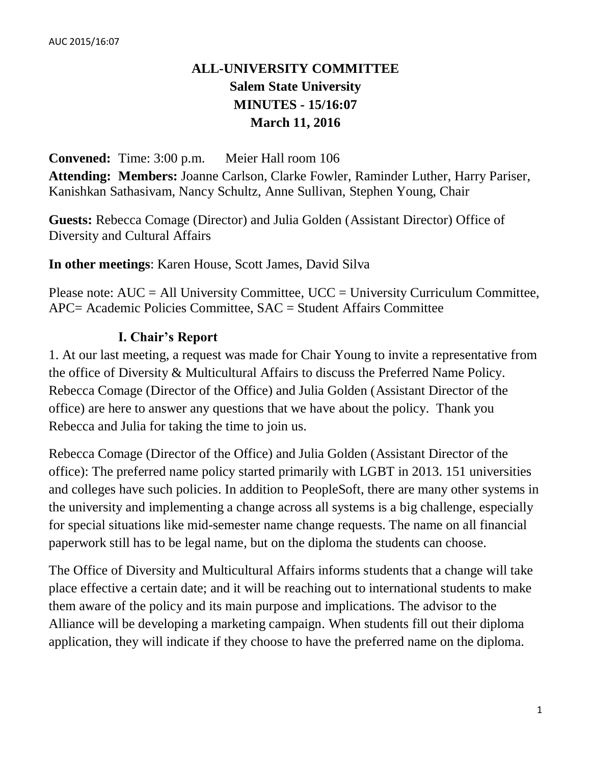# **ALL-UNIVERSITY COMMITTEE Salem State University MINUTES - 15/16:07 March 11, 2016**

**Convened:** Time: 3:00 p.m. Meier Hall room 106 **Attending: Members:** Joanne Carlson, Clarke Fowler, Raminder Luther, Harry Pariser, Kanishkan Sathasivam, Nancy Schultz, Anne Sullivan, Stephen Young, Chair

**Guests:** Rebecca Comage (Director) and Julia Golden (Assistant Director) Office of Diversity and Cultural Affairs

**In other meetings**: Karen House, Scott James, David Silva

Please note:  $AUC = All University Committee$ ,  $UCC = University Curricular Committee$ , APC= Academic Policies Committee, SAC = Student Affairs Committee

# **I. Chair's Report**

1. At our last meeting, a request was made for Chair Young to invite a representative from the office of Diversity & Multicultural Affairs to discuss the Preferred Name Policy. Rebecca Comage (Director of the Office) and Julia Golden (Assistant Director of the office) are here to answer any questions that we have about the policy. Thank you Rebecca and Julia for taking the time to join us.

Rebecca Comage (Director of the Office) and Julia Golden (Assistant Director of the office): The preferred name policy started primarily with LGBT in 2013. 151 universities and colleges have such policies. In addition to PeopleSoft, there are many other systems in the university and implementing a change across all systems is a big challenge, especially for special situations like mid-semester name change requests. The name on all financial paperwork still has to be legal name, but on the diploma the students can choose.

The Office of Diversity and Multicultural Affairs informs students that a change will take place effective a certain date; and it will be reaching out to international students to make them aware of the policy and its main purpose and implications. The advisor to the Alliance will be developing a marketing campaign. When students fill out their diploma application, they will indicate if they choose to have the preferred name on the diploma.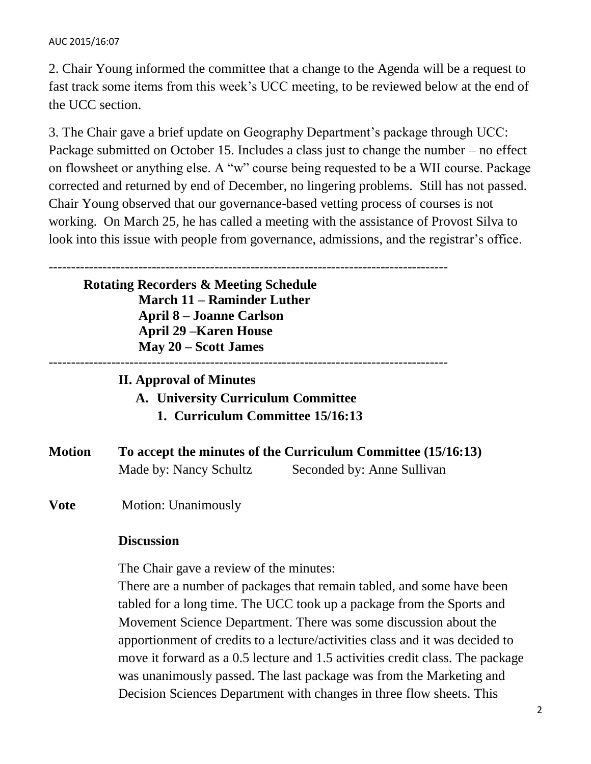### AUC 2015/16:07

2. Chair Young informed the committee that a change to the Agenda will be a request to fast track some items from this week's UCC meeting, to be reviewed below at the end of the UCC section.

3. The Chair gave a brief update on Geography Department's package through UCC: Package submitted on October 15. Includes a class just to change the number – no effect on flowsheet or anything else. A "w" course being requested to be a WII course. Package corrected and returned by end of December, no lingering problems. Still has not passed. Chair Young observed that our governance-based vetting process of courses is not working. On March 25, he has called a meeting with the assistance of Provost Silva to look into this issue with people from governance, admissions, and the registrar's office.

----------------------------------------------------------------------------------------- **Rotating Recorders & Meeting Schedule March 11 – Raminder Luther April 8 – Joanne Carlson April 29 –Karen House May 20 – Scott James** ----------------------------------------------------------------------------------------- **II. Approval of Minutes A. University Curriculum Committee 1. Curriculum Committee 15/16:13 Motion To accept the minutes of the Curriculum Committee (15/16:13)** Made by: Nancy Schultz Seconded by: Anne Sullivan **Vote** Motion: Unanimously **Discussion** The Chair gave a review of the minutes:

There are a number of packages that remain tabled, and some have been tabled for a long time. The UCC took up a package from the Sports and Movement Science Department. There was some discussion about the apportionment of credits to a lecture/activities class and it was decided to move it forward as a 0.5 lecture and 1.5 activities credit class. The package was unanimously passed. The last package was from the Marketing and Decision Sciences Department with changes in three flow sheets. This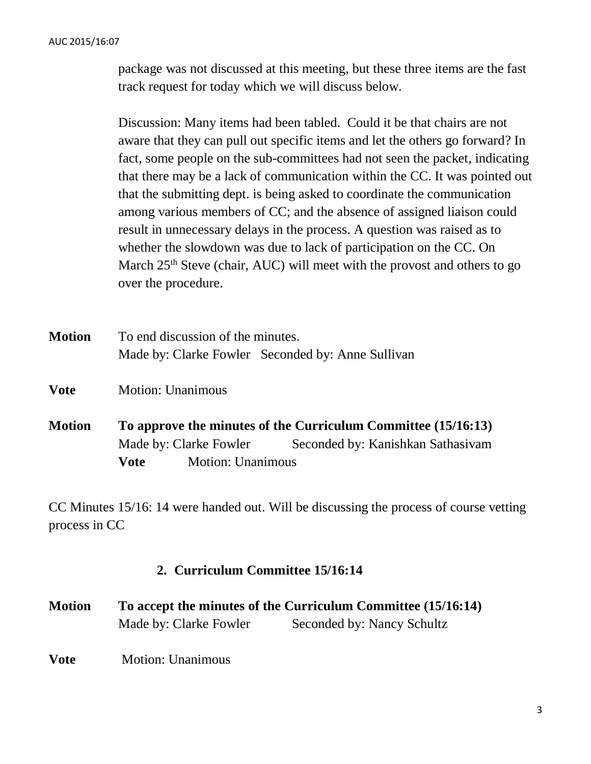package was not discussed at this meeting, but these three items are the fast track request for today which we will discuss below.

Discussion: Many items had been tabled. Could it be that chairs are not aware that they can pull out specific items and let the others go forward? In fact, some people on the sub-committees had not seen the packet, indicating that there may be a lack of communication within the CC. It was pointed out that the submitting dept. is being asked to coordinate the communication among various members of CC; and the absence of assigned liaison could result in unnecessary delays in the process. A question was raised as to whether the slowdown was due to lack of participation on the CC. On March  $25<sup>th</sup>$  Steve (chair, AUC) will meet with the provost and others to go over the procedure.

| <b>Motion</b> | To end discussion of the minutes. |                                                   |  |
|---------------|-----------------------------------|---------------------------------------------------|--|
|               |                                   | Made by: Clarke Fowler Seconded by: Anne Sullivan |  |

**Vote** Motion: Unanimous

**Motion To approve the minutes of the Curriculum Committee (15/16:13)** Made by: Clarke Fowler Seconded by: Kanishkan Sathasivam **Vote** Motion: Unanimous

CC Minutes 15/16: 14 were handed out. Will be discussing the process of course vetting process in CC

### **2. Curriculum Committee 15/16:14**

| <b>Motion</b> | To accept the minutes of the Curriculum Committee (15/16:14) |                            |  |
|---------------|--------------------------------------------------------------|----------------------------|--|
|               | Made by: Clarke Fowler                                       | Seconded by: Nancy Schultz |  |
|               |                                                              |                            |  |

**Vote** Motion: Unanimous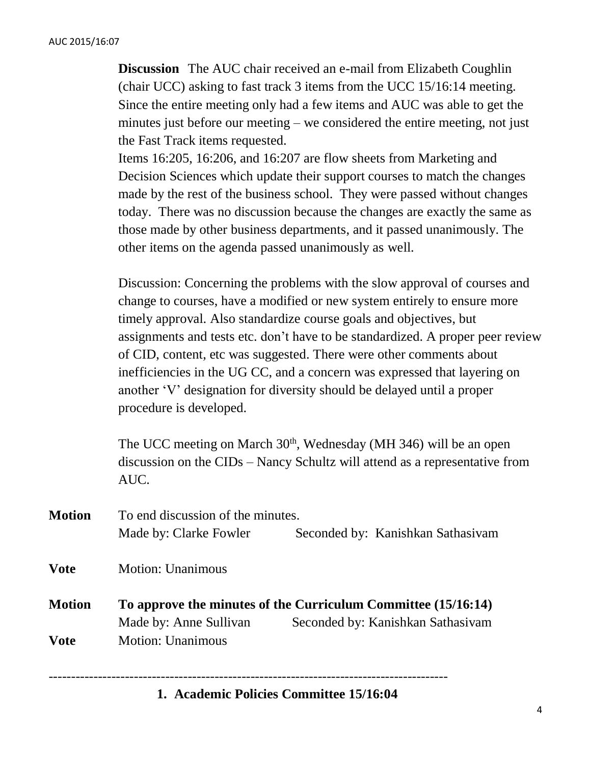**Discussion** The AUC chair received an e-mail from Elizabeth Coughlin (chair UCC) asking to fast track 3 items from the UCC 15/16:14 meeting. Since the entire meeting only had a few items and AUC was able to get the minutes just before our meeting – we considered the entire meeting, not just the Fast Track items requested.

Items 16:205, 16:206, and 16:207 are flow sheets from Marketing and Decision Sciences which update their support courses to match the changes made by the rest of the business school. They were passed without changes today. There was no discussion because the changes are exactly the same as those made by other business departments, and it passed unanimously. The other items on the agenda passed unanimously as well.

Discussion: Concerning the problems with the slow approval of courses and change to courses, have a modified or new system entirely to ensure more timely approval. Also standardize course goals and objectives, but assignments and tests etc. don't have to be standardized. A proper peer review of CID, content, etc was suggested. There were other comments about inefficiencies in the UG CC, and a concern was expressed that layering on another 'V' designation for diversity should be delayed until a proper procedure is developed.

The UCC meeting on March  $30<sup>th</sup>$ , Wednesday (MH 346) will be an open discussion on the CIDs – Nancy Schultz will attend as a representative from AUC.

| <b>Motion</b> | To end discussion of the minutes. |                                                                                                    |  |
|---------------|-----------------------------------|----------------------------------------------------------------------------------------------------|--|
|               | Made by: Clarke Fowler            | Seconded by: Kanishkan Sathasivam                                                                  |  |
| <b>Vote</b>   | <b>Motion: Unanimous</b>          |                                                                                                    |  |
| <b>Motion</b> | Made by: Anne Sullivan            | To approve the minutes of the Curriculum Committee (15/16:14)<br>Seconded by: Kanishkan Sathasiyam |  |
| <b>Vote</b>   | <b>Motion: Unanimous</b>          |                                                                                                    |  |

### **1. Academic Policies Committee 15/16:04**

-----------------------------------------------------------------------------------------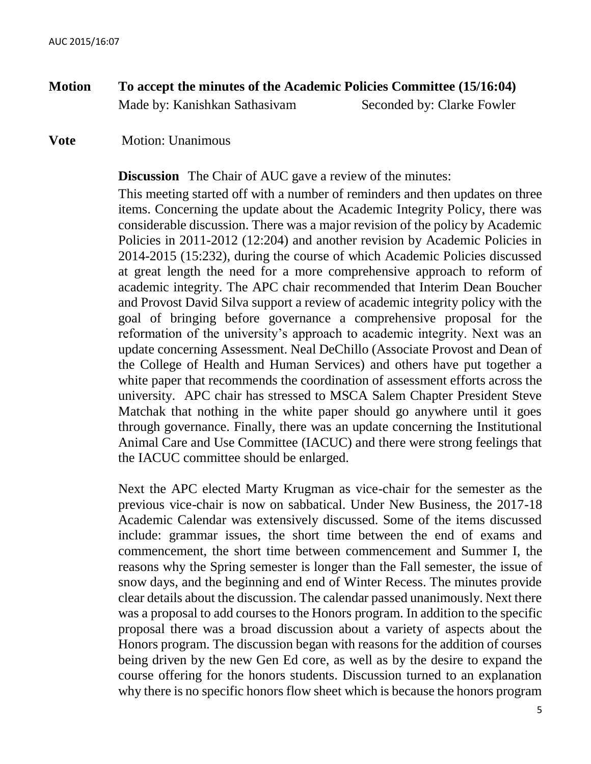- **Motion To accept the minutes of the Academic Policies Committee (15/16:04)** Made by: Kanishkan Sathasivam Seconded by: Clarke Fowler
- **Vote** Motion: Unanimous

**Discussion** The Chair of AUC gave a review of the minutes:

This meeting started off with a number of reminders and then updates on three items. Concerning the update about the Academic Integrity Policy, there was considerable discussion. There was a major revision of the policy by Academic Policies in 2011-2012 (12:204) and another revision by Academic Policies in 2014-2015 (15:232), during the course of which Academic Policies discussed at great length the need for a more comprehensive approach to reform of academic integrity. The APC chair recommended that Interim Dean Boucher and Provost David Silva support a review of academic integrity policy with the goal of bringing before governance a comprehensive proposal for the reformation of the university's approach to academic integrity. Next was an update concerning Assessment. Neal DeChillo (Associate Provost and Dean of the College of Health and Human Services) and others have put together a white paper that recommends the coordination of assessment efforts across the university. APC chair has stressed to MSCA Salem Chapter President Steve Matchak that nothing in the white paper should go anywhere until it goes through governance. Finally, there was an update concerning the Institutional Animal Care and Use Committee (IACUC) and there were strong feelings that the IACUC committee should be enlarged.

Next the APC elected Marty Krugman as vice-chair for the semester as the previous vice-chair is now on sabbatical. Under New Business, the 2017-18 Academic Calendar was extensively discussed. Some of the items discussed include: grammar issues, the short time between the end of exams and commencement, the short time between commencement and Summer I, the reasons why the Spring semester is longer than the Fall semester, the issue of snow days, and the beginning and end of Winter Recess. The minutes provide clear details about the discussion. The calendar passed unanimously. Next there was a proposal to add courses to the Honors program. In addition to the specific proposal there was a broad discussion about a variety of aspects about the Honors program. The discussion began with reasons for the addition of courses being driven by the new Gen Ed core, as well as by the desire to expand the course offering for the honors students. Discussion turned to an explanation why there is no specific honors flow sheet which is because the honors program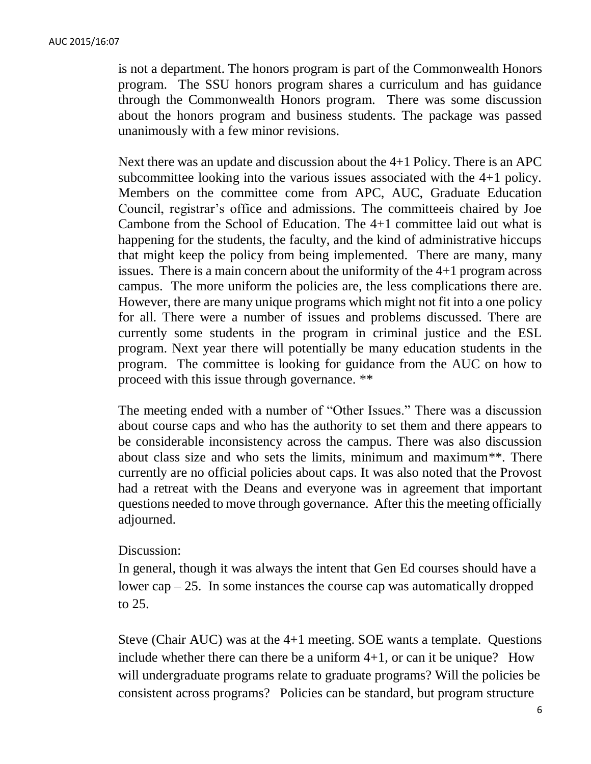is not a department. The honors program is part of the Commonwealth Honors program. The SSU honors program shares a curriculum and has guidance through the Commonwealth Honors program. There was some discussion about the honors program and business students. The package was passed unanimously with a few minor revisions.

Next there was an update and discussion about the 4+1 Policy. There is an APC subcommittee looking into the various issues associated with the 4+1 policy. Members on the committee come from APC, AUC, Graduate Education Council, registrar's office and admissions. The committeeis chaired by Joe Cambone from the School of Education. The 4+1 committee laid out what is happening for the students, the faculty, and the kind of administrative hiccups that might keep the policy from being implemented. There are many, many issues. There is a main concern about the uniformity of the 4+1 program across campus. The more uniform the policies are, the less complications there are. However, there are many unique programs which might not fit into a one policy for all. There were a number of issues and problems discussed. There are currently some students in the program in criminal justice and the ESL program. Next year there will potentially be many education students in the program. The committee is looking for guidance from the AUC on how to proceed with this issue through governance. \*\*

The meeting ended with a number of "Other Issues." There was a discussion about course caps and who has the authority to set them and there appears to be considerable inconsistency across the campus. There was also discussion about class size and who sets the limits, minimum and maximum\*\*. There currently are no official policies about caps. It was also noted that the Provost had a retreat with the Deans and everyone was in agreement that important questions needed to move through governance. After this the meeting officially adjourned.

### Discussion:

In general, though it was always the intent that Gen Ed courses should have a lower cap  $-25$ . In some instances the course cap was automatically dropped to 25.

Steve (Chair AUC) was at the 4+1 meeting. SOE wants a template. Questions include whether there can there be a uniform  $4+1$ , or can it be unique? How will undergraduate programs relate to graduate programs? Will the policies be consistent across programs? Policies can be standard, but program structure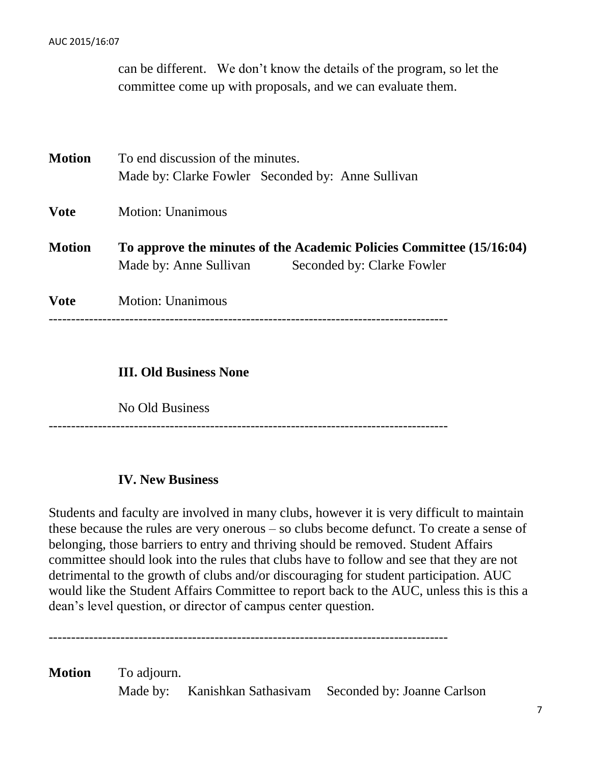#### AUC 2015/16:07

can be different. We don't know the details of the program, so let the committee come up with proposals, and we can evaluate them.

| <b>Motion</b> | To end discussion of the minutes.                                    |  |  |
|---------------|----------------------------------------------------------------------|--|--|
|               | Made by: Clarke Fowler Seconded by: Anne Sullivan                    |  |  |
| <b>Vote</b>   | <b>Motion: Unanimous</b>                                             |  |  |
| <b>Motion</b> | To approve the minutes of the Academic Policies Committee (15/16:04) |  |  |
|               | Seconded by: Clarke Fowler<br>Made by: Anne Sullivan                 |  |  |
| <b>Vote</b>   | <b>Motion: Unanimous</b>                                             |  |  |
|               |                                                                      |  |  |
|               |                                                                      |  |  |

## **III. Old Business None**

No Old Business

#### -----------------------------------------------------------------------------------------

# **IV. New Business**

Students and faculty are involved in many clubs, however it is very difficult to maintain these because the rules are very onerous – so clubs become defunct. To create a sense of belonging, those barriers to entry and thriving should be removed. Student Affairs committee should look into the rules that clubs have to follow and see that they are not detrimental to the growth of clubs and/or discouraging for student participation. AUC would like the Student Affairs Committee to report back to the AUC, unless this is this a dean's level question, or director of campus center question.

-----------------------------------------------------------------------------------------

**Motion** To adjourn. Made by: Kanishkan Sathasivam Seconded by: Joanne Carlson